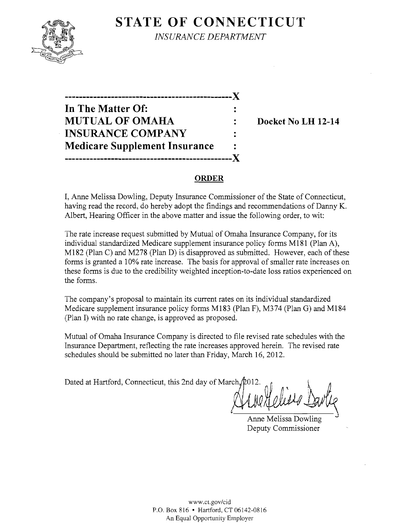# **STATE OF CONNECTICUT**



*INSURANCE DEPARTMENT* 

| -------------                        |  |
|--------------------------------------|--|
| In The Matter Of:                    |  |
| <b>MUTUAL OF OMAHA</b>               |  |
| <b>INSURANCE COMPANY</b>             |  |
| <b>Medicare Supplement Insurance</b> |  |
|                                      |  |

Docket No LH 12-14

### **ORDER**

I, Anne Melissa Dowling, Deputy Insurance Commissioner of the State of Connecticut, having read the record, do hereby adopt the findings and recommendations of Danny K. Albert, Hearing Officer in the above matter and issue the following order, to wit:

The rate increase request submitted by Mutual of Omaha Insurance Company, for its individual standardized Medicare supplement insurance policy forms MI8I (Plan A), M182 (Plan C) and M278 (Plan D) is disapproved as submitted. However, each of these forms is granted a 10% rate increase. The basis for approval of smaller rate increases on these forms is due to the credibility weighted inception-to-date loss ratios experienced on the forms.

The company's proposal to maintain its current rates on its individual standardized Medicare supplement insurance policy forms MI83 (Plan F), M374 (Plan G) and MI84 (Plan I) with no rate change, is approved as proposed.

Mutual of Omaha Insurance Company is directed to file revised rate schedules with the Insurance Department, reflecting the rate increases approved herein. The revised rate schedules should be submitted no later than Friday, March 16, 2012.<br>
Dated at Hartford, Connecticut, this 2nd day of March,  $\beta$ 012.

Anne Melissa Dowling Deputy Commissioner

www.ct.gov/cid P.O. Box 816 • Hartford, CT 06142-0816 An Equal Opportunity Employer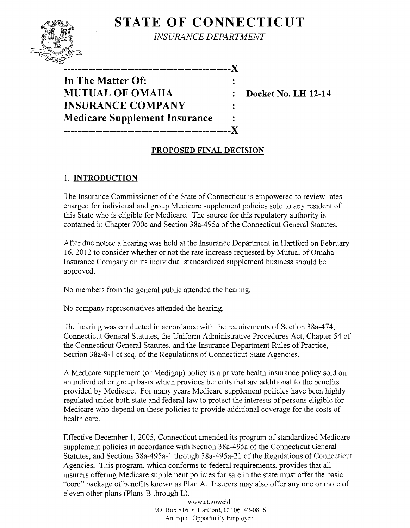# **STATE OF CONNECTICUT**



*INSURANCE DEPARTMENT* 

**-----------------------------------------------)(** 

**In The Matter Of: MUTUAL OF OMAHA : Docket No. LH 12-14 INSURANCE COMPANY Medicare Supplement Insurance**  -----------------X

### **PROPOSED FINAL DECISION**

## 1. **INTRODUCTION**

The Insurance Commissioner of the State of Connecticut is empowered to review rates charged for individual and group Medicare supplement policies sold to any resident of this State who is eligible for Medicare. The source for this regulatory authority is contained in Chapter 700c and Section 38a-495a of the Connecticut General Statutes.

After due notice a hearing was held at the Insurance Department in Hartford on February 16,2012 to consider whether or not the rate increase requested by Mutual of Omaha Insurance Company on its individual standardized supplement business should be approved.

No members from the general public attended the hearing.

No company representatives attended the hearing.

The hearing was conducted in accordance with the requirements of Section 38a-474, Connecticut General Statutes, the Uniform Administrative Procedures Act, Chapter 54 of the Connecticut General Statutes, and the Insurance Department Rules of Practice, Section 38a-8-l et seq. of the Regulations of Connecticut State Agencies.

A Medicare supplement (or Medigap) policy is a private health insurance policy sold on an individual or group basis which provides benefits that are additional to the benefits provided by Medicare. For many years Medicare supplement policies have been highly regulated under both state and federal law to protect the interests of persons eligible for Medicare who depend on these policies to provide additional coverage for the costs of health care.

Effective December 1, 2005, Connecticut amended its program of standardized Medicare supplement policies in accordance with Section 38a-495a of the Connecticut General Statutes, and Sections 38a-495a-l through 38a-495a-21 of the Regulations of Connecticut Agencies. This program, which conforms to federal requirements, provides that all insurers offering Medicare supplement policies for sale in the state must offer the basic "core" package of benefits known as Plan A. Insurers may also offer anyone or more of eleven other plans (Plans B through L).

> www.ct.gov/cid P.O. Box 816 • Hartford, CT 06142-0816 An Equal Opportunity Employer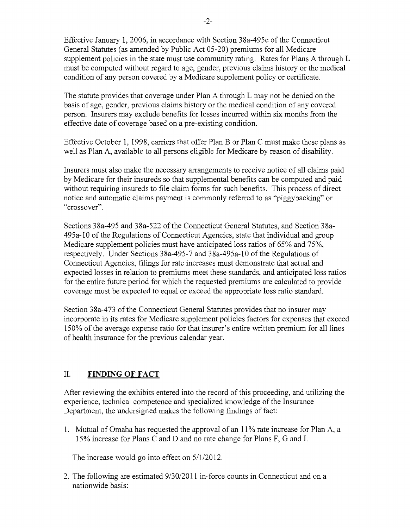Effective January 1, 2006, in accordance with Section 38a-495c of the Connecticut General Statutes (as amended by Public Act 05-20) premiums for all Medicare supplement policies in the state must use community rating. Rates for Plans A through L must be computed without regard to age, gender, previous claims history or the medical condition of any person covered by a Medicare supplement policy or certificate.

The statute provides that coverage under Plan A through L may not be denied on the basis of age, gender, previous claims history or the medical condition of any covered person. Insurers may exclude benefits for losses incurred within six months from the effective date of coverage based on a pre-existing condition.

Effective October 1, 1998, carriers that offer Plan B or Plan C must make these plans as well as Plan A, available to all persons eligible for Medicare by reason of disability.

Insurers must also make the necessary arrangements to receive notice of all claims paid by Medicare for their insureds so that supplemental benefits can be computed and paid without requiring insureds to file claim forms for such benefits. This process of direct notice and automatic claims payment is commonly referred to as "piggybacking" or "crossover".

Sections 38a-495 and 38a-522 ofthe Connecticut General Statutes, and Section 38a-495a-l0 of the Regulations of Connecticut Agencies, state that individual and group Medicare supplement policies must have anticipated loss ratios of 65% and 75%, respectively. Under Sections 38a-495-7 and 38a-495a-l 0 of the Regulations of Connecticut Agencies, filings for rate increases must demonstrate that actual and expected losses in relation to premiums meet these standards, and anticipated loss ratios for the entire future period for which the requested premiums are calculated to provide coverage must be expected to equal or exceed the appropriate loss ratio standard.

Section 38a-473 of the Connecticut General Statutes provides that no insurer may incorporate in its rates for Medicare supplement policies factors for expenses that exceed 150% of the average expense ratio for that insurer's entire written premium for all lines of health insurance for the previous calendar year.

### II. **FINDING OF FACT**

After reviewing the exhibits entered into the record of this proceeding, and utilizing the experience, technical competence and specialized knowledge of the Insurance Department, the undersigned makes the following findings of fact:

1. Mutual of Omaha has requested the approval of an  $11\%$  rate increase for Plan A, a 15% increase for Plans C and D and no rate change for Plans F, G and I.

The increase would go into effect on 5/1/2012.

2. The following are estimated  $9/30/2011$  in-force counts in Connecticut and on a nationwide basis: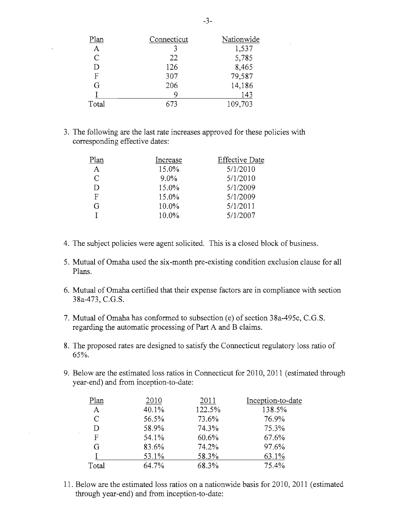| Plan          | Connecticut | Nationwide |
|---------------|-------------|------------|
| $\mathbf{A}$  |             | 1,537      |
| $\mathcal{C}$ | 22          | 5,785      |
| D             | 126         | 8,465      |
| F             | 307         | 79,587     |
| G             | 206         | 14,186     |
|               |             | 143        |
| Total         | 673         | 109,703    |

3. The following are the last rate increases approved for these policies with corresponding effective dates:

| Plan | Increase | <b>Effective Date</b> |
|------|----------|-----------------------|
| A    | 15.0%    | 5/1/2010              |
| C    | $9.0\%$  | 5/1/2010              |
|      | 15.0%    | 5/1/2009              |
| F    | 15.0%    | 5/1/2009              |
| G    | 10.0%    | 5/1/2011              |
|      | $10.0\%$ | 5/1/2007              |

 $\hat{\boldsymbol{\beta}}$ 

 $\frac{1}{\sqrt{2}}\sum_{i=1}^{n} \frac{1}{\sqrt{2}}\left(\frac{1}{\sqrt{2}}\right)^2$ 

 $\hat{\mathcal{A}}$ 

- 4. The subject policies were agent solicited. This is a closed block of business.
- 5. Mutual of Omaha used the six-month pre-existing condition exclusion clause for all Plans.
- 6. Mutual of Omaha certified that their expense factors are in compliance with section 38a-473, C.G.S.
- 7. Mutual of Omaha has conformed to subsection (e) of section 38a-495c, C.G.S. regarding the automatic processing of Part A and B claims.
- 8. The proposed rates are designed to satisfy the Connecticut regulatory loss ratio of 65%.
- 9. Below are the estimated loss ratios in Connecticut for 2010, 2011 (estimated through year-end) and from inception-to-date:

| Plan         | 2010  | 2011   | Inception-to-date |
|--------------|-------|--------|-------------------|
| $\mathbf{A}$ | 40.1% | 122.5% | 138.5%            |
| C            | 56.5% | 73.6%  | 76.9%             |
| D            | 58.9% | 74.3%  | 75.3%             |
| F            | 54.1% | 60.6%  | 67.6%             |
| G            | 83.6% | 74.2%  | 97.6%             |
|              | 53.1% | 58.3%  | 63.1%             |
| Total        | 64.7% | 68.3%  | 75.4%             |

11. Below are the estimated loss ratios on a nationwide basis for 2010, 2011 (estimated through year-end) and from inception-to-date: